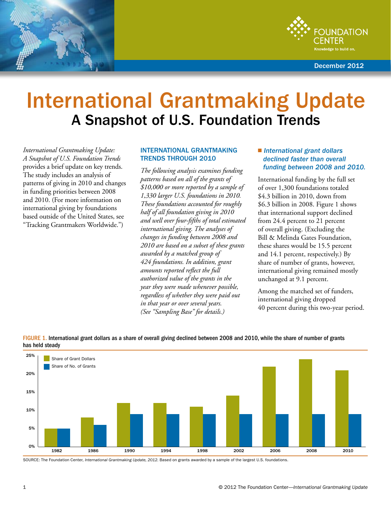



December 2012

# International Grantmaking Update A Snapshot of U.S. Foundation Trends

*International Grantmaking Update: A Snapshot of U.S. Foundation Trends*  provides a brief update on key trends. The study includes an analysis of patterns of giving in 2010 and changes in funding priorities between 2008 and 2010. (For more information on international giving by foundations based outside of the United States, see "Tracking Grantmakers Worldwide.")

### INTERNATIONAL GRANTMAKING TRENDS THROUGH 2010

*The following analysis examines funding patterns based on all of the grants of \$10,000 or more reported by a sample of 1,330 larger U.S. foundations in 2010. These foundations accounted for roughly half of all foundation giving in 2010 and well over four-fifths of total estimated international giving. The analyses of changes in funding between 2008 and 2010 are based on a subset of these grants awarded by a matched group of 424 foundations. In addition, grant amounts reported reflect the full authorized value of the grants in the year they were made whenever possible, regardless of whether they were paid out in that year or over several years. (See "Sampling Base" for details.)* 

### ■ *International grant dollars declined faster than overall funding between 2008 and 2010.*

International funding by the full set of over 1,300 foundations totaled \$4.3 billion in 2010, down from \$6.3 billion in 2008. Figure 1 shows that international support declined from 24.4 percent to 21 percent of overall giving. (Excluding the Bill & Melinda Gates Foundation, these shares would be 15.5 percent and 14.1 percent, respectively.) By share of number of grants, however, international giving remained mostly unchanged at 9.1 percent.

Among the matched set of funders, international giving dropped 40 percent during this two-year period.



FIGURE 1. International grant dollars as a share of overall giving declined between 2008 and 2010, while the share of number of grants has held steady

Source: The Foundation Center, *International Grantmaking Update, 2012*. Based on grants awarded by a sample of the largest U.S. foundations.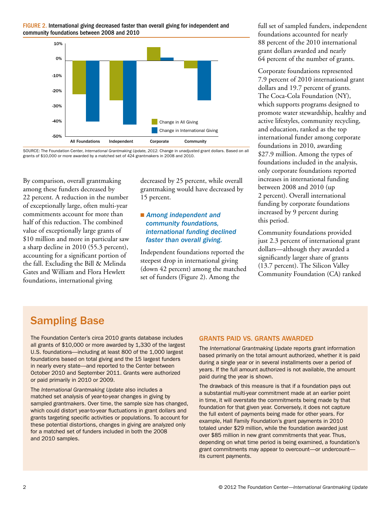



Source: The Foundation Center, *International Grantmaking Update, 2012*. Change in unadjusted grant dollars. Based on all grants of \$10,000 or more awarded by a matched set of 424 grantmakers in 2008 and 2010.

By comparison, overall grantmaking among these funders decreased by 22 percent. A reduction in the number of exceptionally large, often multi-year commitments account for more than half of this reduction. The combined value of exceptionally large grants of \$10 million and more in particular saw a sharp decline in 2010 (55.3 percent), accounting for a significant portion of the fall. Excluding the Bill & Melinda Gates and William and Flora Hewlett foundations, international giving

decreased by 25 percent, while overall grantmaking would have decreased by 15 percent.

### **n** Among independent and  *community foundations, international funding declined faster than overall giving.*

Independent foundations reported the steepest drop in international giving (down 42 percent) among the matched set of funders (Figure 2). Among the

full set of sampled funders, independent foundations accounted for nearly 88 percent of the 2010 international grant dollars awarded and nearly 64 percent of the number of grants.

Corporate foundations represented 7.9 percent of 2010 international grant dollars and 19.7 percent of grants. The Coca-Cola Foundation (NY), which supports programs designed to promote water stewardship, healthy and active lifestyles, community recycling, and education, ranked as the top international funder among corporate foundations in 2010, awarding \$27.9 million. Among the types of foundations included in the analysis, only corporate foundations reported increases in international funding between 2008 and 2010 (up 2 percent). Overall international funding by corporate foundations increased by 9 percent during this period.

Community foundations provided just 2.3 percent of international grant dollars—although they awarded a significantly larger share of grants (13.7 percent). The Silicon Valley Community Foundation (CA) ranked

## Sampling Base

The Foundation Center's circa 2010 grants database includes all grants of \$10,000 or more awarded by 1,330 of the largest U.S. foundations—including at least 800 of the 1,000 largest foundations based on total giving and the 15 largest funders in nearly every state—and reported to the Center between October 2010 and September 2011. Grants were authorized or paid primarily in 2010 or 2009.

The *International Grantmaking Update* also includes a matched set analysis of year-to-year changes in giving by sampled grantmakers. Over time, the sample size has changed, which could distort year-to-year fluctuations in grant dollars and grants targeting specific activities or populations. To account for these potential distortions, changes in giving are analyzed only for a matched set of funders included in both the 2008 and 2010 samples.

### GRANTS PAID VS. GRANTS AWARDED

The *International Grantmaking Update* reports grant information based primarily on the total amount authorized, whether it is paid during a single year or in several installments over a period of years. If the full amount authorized is not available, the amount paid during the year is shown.

The drawback of this measure is that if a foundation pays out a substantial multi-year commitment made at an earlier point in time, it will overstate the commitments being made by that foundation for that given year. Conversely, it does not capture the full extent of payments being made for other years. For example, Hall Family Foundation's grant payments in 2010 totaled under \$29 million, while the foundation awarded just over \$85 million in new grant commitments that year. Thus, depending on what time period is being examined, a foundation's grant commitments may appear to overcount—or undercount its current payments.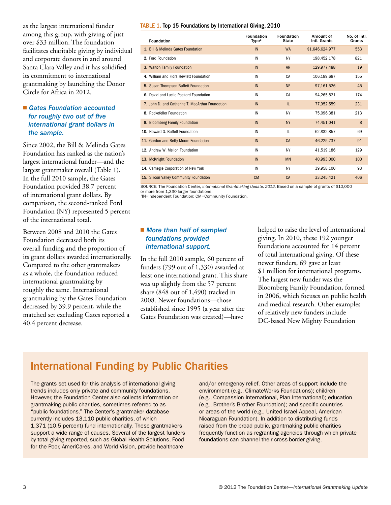as the largest international funder among this group, with giving of just over \$33 million. The foundation facilitates charitable giving by individual and corporate donors in and around Santa Clara Valley and it has solidified its commitment to international grantmaking by launching the Donor Circle for Africa in 2012.

### ■ Gates Foundation accounted  *for roughly two out of five international grant dollars in the sample.*

Since 2002, the Bill & Melinda Gates Foundation has ranked as the nation's largest international funder—and the largest grantmaker overall (Table 1). In the full 2010 sample, the Gates Foundation provided 38.7 percent of international grant dollars. By comparison, the second-ranked Ford Foundation (NY) represented 5 percent of the international total.

Between 2008 and 2010 the Gates Foundation decreased both its overall funding and the proportion of its grant dollars awarded internationally. Compared to the other grantmakers as a whole, the foundation reduced international grantmaking by roughly the same. International grantmaking by the Gates Foundation decreased by 39.9 percent, while the matched set excluding Gates reported a 40.4 percent decrease.

#### TABLE 1. Top 15 Foundations by International Giving, 2010

| <b>Foundation</b>                                | <b>Foundation</b><br>Type <sup>1</sup> | <b>Foundation</b><br><b>State</b> | Amount of<br>Intl. Grants | No. of Intl.<br>Grants |
|--------------------------------------------------|----------------------------------------|-----------------------------------|---------------------------|------------------------|
| 1. Bill & Melinda Gates Foundation               | IN                                     | <b>WA</b>                         | \$1,646,624,977           | 553                    |
| 2. Ford Foundation                               | IN                                     | <b>NY</b>                         | 198,452,178               | 821                    |
| 3. Walton Family Foundation                      | IN                                     | <b>AR</b>                         | 129.977.488               | 19                     |
| 4. William and Flora Hewlett Foundation          | IN                                     | CA                                | 106,189,687               | 155                    |
| 5. Susan Thompson Buffett Foundation             | IN                                     | <b>NE</b>                         | 97,161,526                | 45                     |
| 6. David and Lucile Packard Foundation           | IN                                     | CA                                | 94,265,821                | 174                    |
| 7. John D. and Catherine T. MacArthur Foundation | IN                                     | IL                                | 77,952,559                | 231                    |
| 8. Rockefeller Foundation                        | IN                                     | <b>NY</b>                         | 75,096,381                | 213                    |
| 9. Bloomberg Family Foundation                   | IN                                     | <b>NY</b>                         | 74,451,041                | 8                      |
| 10. Howard G. Buffett Foundation                 | IN                                     | IL                                | 62,832,857                | 69                     |
| 11. Gordon and Betty Moore Foundation            | IN                                     | CA                                | 46,225,737                | 91                     |
| 12. Andrew W. Mellon Foundation                  | IN                                     | <b>NY</b>                         | 41,519,186                | 129                    |
| 13. McKnight Foundation                          | IN                                     | <b>MN</b>                         | 40,993,000                | 100                    |
| 14. Carnegie Corporation of New York             | IN                                     | <b>NY</b>                         | 39,958,100                | 93                     |
| 15. Silicon Valley Community Foundation          | <b>CM</b>                              | <b>CA</b>                         | 33.245.421                | 406                    |

Source: The Foundation Center, *International Grantmaking Update, 2012*. Based on a sample of grants of \$10,000 or more from 1,330 larger foundations.

1IN=Independent Foundation; CM=Community Foundation.

### ■ More than half of sampled  *foundations provided international support.*

In the full 2010 sample, 60 percent of funders (799 out of 1,330) awarded at least one international grant. This share was up slightly from the 57 percent share (848 out of 1,490) tracked in 2008. Newer foundations—those established since 1995 (a year after the Gates Foundation was created)—have

helped to raise the level of international giving. In 2010, these 192 younger foundations accounted for 14 percent of total international giving. Of these newer funders, 69 gave at least \$1 million for international programs. The largest new funder was the Bloomberg Family Foundation, formed in 2006, which focuses on public health and medical research. Other examples of relatively new funders include DC-based New Mighty Foundation

### International Funding by Public Charities

The grants set used for this analysis of international giving trends includes only private and community foundations. However, the Foundation Center also collects information on grantmaking public charities, sometimes referred to as "public foundations." The Center's grantmaker database currently includes 13,110 public charities, of which 1,371 (10.5 percent) fund internationally. These grantmakers support a wide range of causes. Several of the largest funders by total giving reported, such as Global Health Solutions, Food for the Poor, AmeriCares, and World Vision, provide healthcare

and/or emergency relief. Other areas of support include the environment (e.g., ClimateWorks Foundations); children (e.g., Compassion International, Plan International); education (e.g., Brother's Brother Foundation); and specific countries or areas of the world (e.g., United Israel Appeal, American Nicaraguan Foundation). In addition to distributing funds raised from the broad public, grantmaking public charities frequently function as regranting agencies through which private foundations can channel their cross-border giving.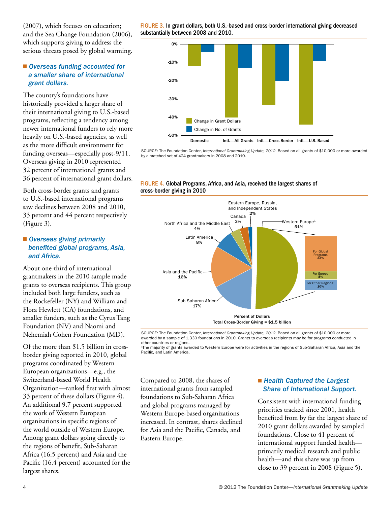(2007), which focuses on education; and the Sea Change Foundation (2006), which supports giving to address the serious threats posed by global warming.

### ■ Overseas funding accounted for  *a smaller share of international grant dollars.*

The country's foundations have historically provided a larger share of their international giving to U.S.-based programs, reflecting a tendency among newer international funders to rely more heavily on U.S.-based agencies, as well as the more difficult environment for funding overseas—especially post-9/11. Overseas giving in 2010 represented 32 percent of international grants and 36 percent of international grant dollars.

Both cross-border grants and grants to U.S.-based international programs saw declines between 2008 and 2010, 33 percent and 44 percent respectively (Figure 3).

### ■ Overseas giving primarily  *benefited global programs, Asia, and Africa.*

About one-third of international grantmakers in the 2010 sample made grants to overseas recipients. This group included both large funders, such as the Rockefeller (NY) and William and Flora Hewlett (CA) foundations, and smaller funders, such as the Cyrus Tang Foundation (NV) and Naomi and Nehemiah Cohen Foundation (MD).

Of the more than \$1.5 billion in crossborder giving reported in 2010, global programs coordinated by Western European organizations—e.g., the Switzerland-based World Health Organization—ranked first with almost 33 percent of these dollars (Figure 4). An additional 9.7 percent supported the work of Western European organizations in specific regions of the world outside of Western Europe. Among grant dollars going directly to the regions of benefit, Sub-Saharan Africa (16.5 percent) and Asia and the Pacific (16.4 percent) accounted for the largest shares.

FIGURE 3. In grant dollars, both U.S.-based and cross-border international giving decreased substantially between 2008 and 2010.



Source: The Foundation Center, *International Grantmaking Update, 2012*. Based on all grants of \$10,000 or more awarded by a matched set of 424 grantmakers in 2008 and 2010.

### FIGURE 4. Global Programs, Africa, and Asia, received the largest shares of cross-border giving in 2010



Source: The Foundation Center, *International Grantmaking Update, 2012*. Based on all grants of \$10,000 or more awarded by a sample of 1,330 foundations in 2010. Grants to overseas recipients may be for programs conducted in other countries or regions. 1

The majority of grants awarded to Western Europe were for activities in the regions of Sub-Saharan Africa, Asia and the Pacific, and Latin America.

Compared to 2008, the shares of international grants from sampled foundations to Sub-Saharan Africa and global programs managed by Western Europe-based organizations increased. In contrast, shares declined for Asia and the Pacific, Canada, and Eastern Europe.

### ■ Health Captured the Largest  *Share of International Support.*

Consistent with international funding priorities tracked since 2001, health benefited from by far the largest share of 2010 grant dollars awarded by sampled foundations. Close to 41 percent of international support funded health primarily medical research and public health—and this share was up from close to 39 percent in 2008 (Figure 5).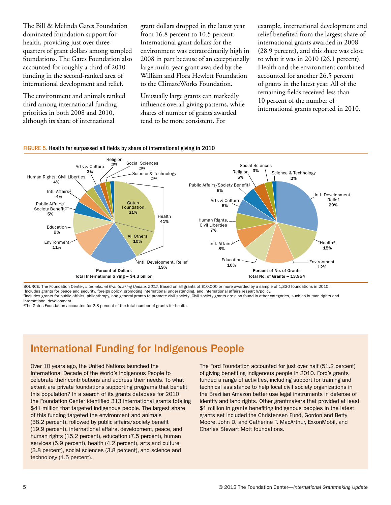The Bill & Melinda Gates Foundation dominated foundation support for health, providing just over threequarters of grant dollars among sampled foundations. The Gates Foundation also accounted for roughly a third of 2010 funding in the second-ranked area of international development and relief.

The environment and animals ranked third among international funding priorities in both 2008 and 2010, although its share of international

grant dollars dropped in the latest year from 16.8 percent to 10.5 percent. International grant dollars for the environment was extraordinarily high in 2008 in part because of an exceptionally large multi-year grant awarded by the William and Flora Hewlett Foundation to the ClimateWorks Foundation.

Unusually large grants can markedly influence overall giving patterns, while shares of number of grants awarded tend to be more consistent. For

example, international development and relief benefited from the largest share of international grants awarded in 2008 (28.9 percent), and this share was close to what it was in 2010 (26.1 percent). Health and the environment combined accounted for another 26.5 percent of grants in the latest year. All of the remaining fields received less than 10 percent of the number of international grants reported in 2010.



FIGURE 5. Health far surpassed all fields by share of international giving in 2010

SOURCE: The Foundation Center, *International Grantmaking Update, 2012*. Based on all grants of \$10,000 or more awarded by a sample of 1,330 foundations in 2010.<br><sup>1</sup>Includes grants for peace and security, foreign policy, p

<sup>3</sup>The Gates Foundation accounted for 2.8 percent of the total number of grants for health.

# International Funding for Indigenous People

Over 10 years ago, the United Nations launched the International Decade of the World's Indigenous People to celebrate their contributions and address their needs. To what extent are private foundations supporting programs that benefit this population? In a search of its grants database for 2010, the Foundation Center identified 313 international grants totaling \$41 million that targeted indigenous people. The largest share of this funding targeted the environment and animals (38.2 percent), followed by public affairs/society benefit (19.9 percent), international affairs, development, peace, and human rights (15.2 percent), education (7.5 percent), human services (5.9 percent), health (4.2 percent), arts and culture (3.8 percent), social sciences (3.8 percent), and science and technology (1.5 percent).

The Ford Foundation accounted for just over half (51.2 percent) of giving benefiting indigenous people in 2010. Ford's grants funded a range of activities, including support for training and technical assistance to help local civil society organizations in the Brazilian Amazon better use legal instruments in defense of identity and land rights. Other grantmakers that provided at least \$1 million in grants benefiting indigenous peoples in the latest grants set included the Christensen Fund, Gordon and Betty Moore, John D. and Catherine T. MacArthur, ExxonMobil, and Charles Stewart Mott foundations.